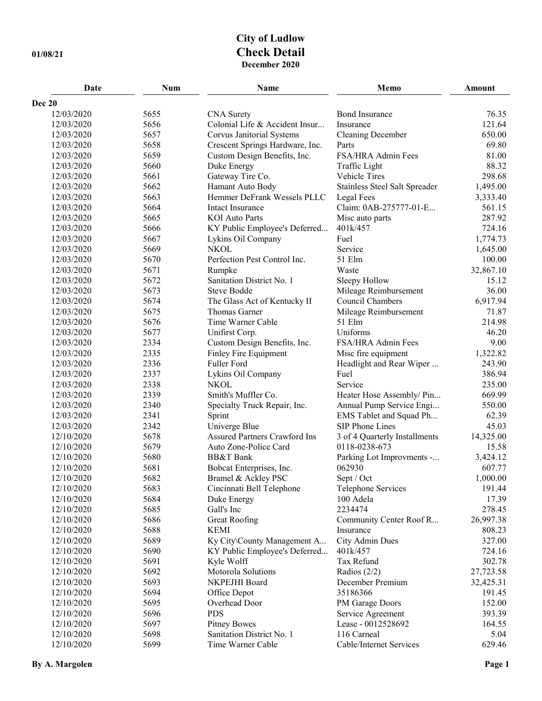## **City of Ludlow 01/08/21 Check Detail December 2020**

| Date                     | <b>Num</b>   | Name                                 | Memo                                 | <b>Amount</b>       |
|--------------------------|--------------|--------------------------------------|--------------------------------------|---------------------|
| Dec 20                   |              |                                      |                                      |                     |
| 12/03/2020               | 5655         | <b>CNA</b> Surety                    | <b>Bond Insurance</b>                | 76.35               |
| 12/03/2020               | 5656         | Colonial Life & Accident Insur       | Insurance                            | 121.64              |
| 12/03/2020               | 5657         | Corvus Janitorial Systems            | <b>Cleaning December</b>             | 650.00              |
| 12/03/2020               | 5658         | Crescent Springs Hardware, Inc.      | Parts                                | 69.80               |
| 12/03/2020               | 5659         | Custom Design Benefits, Inc.         | FSA/HRA Admin Fees                   | 81.00               |
| 12/03/2020               | 5660         | Duke Energy                          | Traffic Light                        | 88.32               |
| 12/03/2020               | 5661         | Gateway Tire Co.                     | Vehicle Tires                        | 298.68              |
| 12/03/2020               | 5662         | Hamant Auto Body                     | Stainless Steel Salt Spreader        | 1,495.00            |
| 12/03/2020               | 5663         | Hemmer DeFrank Wessels PLLC          | Legal Fees                           | 3,333.40            |
| 12/03/2020               | 5664         | Intact Insurance                     | Claim: 0AB-275777-01-E               | 561.15              |
| 12/03/2020               | 5665         | <b>KOI</b> Auto Parts                | Misc auto parts                      | 287.92              |
| 12/03/2020               | 5666         | KY Public Employee's Deferred        | 401k/457                             | 724.16              |
| 12/03/2020               | 5667         | Lykins Oil Company                   | Fuel                                 | 1,774.73            |
| 12/03/2020               | 5669         | <b>NKOL</b>                          | Service                              | 1,645.00            |
| 12/03/2020               | 5670         | Perfection Pest Control Inc.         | 51 Elm                               | 100.00              |
| 12/03/2020               | 5671         | Rumpke                               | Waste                                | 32,867.10           |
| 12/03/2020               | 5672         | Sanitation District No. 1            | Sleepy Hollow                        | 15.12               |
| 12/03/2020               | 5673         | <b>Steve Bodde</b>                   | Mileage Reimbursement                | 36.00               |
| 12/03/2020               | 5674         | The Glass Act of Kentucky II         | Council Chambers                     | 6,917.94            |
| 12/03/2020               | 5675         | Thomas Garner                        | Mileage Reimbursement                | 71.87               |
| 12/03/2020               | 5676         | Time Warner Cable                    | 51 Elm                               | 214.98              |
| 12/03/2020               | 5677         | Unifirst Corp.                       | Uniforms                             | 46.20               |
| 12/03/2020               | 2334         | Custom Design Benefits, Inc.         | FSA/HRA Admin Fees                   | 9.00                |
| 12/03/2020               | 2335         | Finley Fire Equipment                | Misc fire equipment                  | 1,322.82            |
| 12/03/2020               | 2336         | Fuller Ford                          | Headlight and Rear Wiper             | 243.90              |
| 12/03/2020               | 2337         | Lykins Oil Company                   | Fuel                                 | 386.94              |
| 12/03/2020               | 2338         | <b>NKOL</b>                          | Service                              | 235.00              |
| 12/03/2020               | 2339         | Smith's Muffler Co.                  | Heater Hose Assembly/ Pin            | 669.99              |
| 12/03/2020               | 2340         | Specialty Truck Repair, Inc.         | Annual Pump Service Engi             | 550.00              |
| 12/03/2020               | 2341         | Sprint                               | EMS Tablet and Squad Ph              | 62.39               |
| 12/03/2020               | 2342         | Univerge Blue                        | SIP Phone Lines                      | 45.03               |
| 12/10/2020               | 5678         | <b>Assured Partners Crawford Ins</b> | 3 of 4 Quarterly Installments        | 14,325.00           |
| 12/10/2020               | 5679         | Auto Zone-Police Card                | 0118-0238-673                        | 15.58               |
| 12/10/2020               | 5680         | <b>BB&amp;T</b> Bank                 | Parking Lot Improvments -            | 3,424.12            |
| 12/10/2020               | 5681         | Bobcat Enterprises, Inc.             | 062930                               | 607.77              |
| 12/10/2020               | 5682         | Bramel & Ackley PSC                  | Sept / Oct                           | 1,000.00            |
| 12/10/2020               | 5683         | Cincinnati Bell Telephone            | Telephone Services                   | 191.44              |
| 12/10/2020               | 5684         | Duke Energy                          | 100 Adela                            | 17.39               |
| 12/10/2020               | 5685         | Gall's Inc                           | 2234474                              | 278.45              |
| 12/10/2020               | 5686         | <b>Great Roofing</b>                 | Community Center Roof R              | 26,997.38           |
| 12/10/2020               | 5688         | <b>KEMI</b>                          | Insurance                            | 808.23              |
| 12/10/2020               | 5689         | Ky City\County Management A          | City Admin Dues                      | 327.00              |
| 12/10/2020               | 5690         | KY Public Employee's Deferred        | 401k/457<br>Tax Refund               | 724.16              |
| 12/10/2020               | 5691         | Kyle Wolff                           |                                      | 302.78              |
| 12/10/2020<br>12/10/2020 | 5692<br>5693 | Motorola Solutions<br>NKPEJHI Board  | Radios $(2/2)$<br>December Premium   | 27,723.58           |
| 12/10/2020               | 5694         | Office Depot                         | 35186366                             | 32,425.31<br>191.45 |
| 12/10/2020               | 5695         | Overhead Door                        |                                      | 152.00              |
| 12/10/2020               | 5696         | <b>PDS</b>                           | PM Garage Doors<br>Service Agreement | 393.39              |
| 12/10/2020               | 5697         | <b>Pitney Bowes</b>                  | Lease - 0012528692                   | 164.55              |
| 12/10/2020               | 5698         | Sanitation District No. 1            | 116 Carneal                          | 5.04                |
| 12/10/2020               | 5699         | Time Warner Cable                    | Cable/Internet Services              | 629.46              |
|                          |              |                                      |                                      |                     |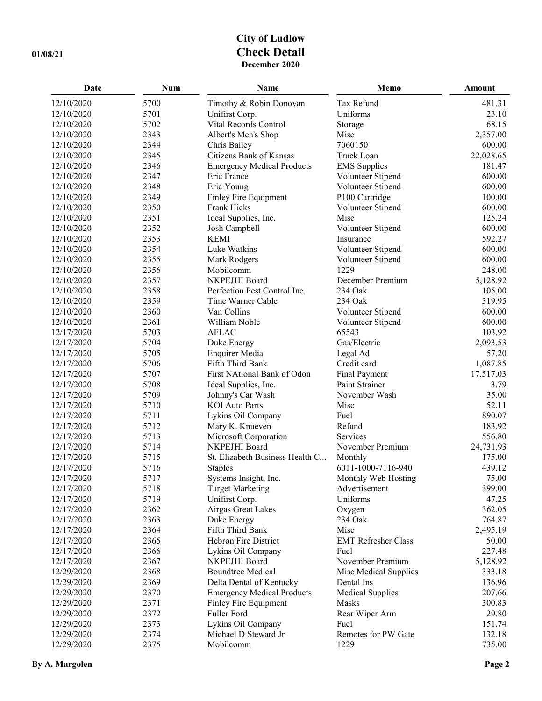## **City of Ludlow 01/08/21 Check Detail December 2020**

| Date       | <b>Num</b> | Name                              | Memo                       | Amount    |
|------------|------------|-----------------------------------|----------------------------|-----------|
| 12/10/2020 | 5700       | Timothy & Robin Donovan           | Tax Refund                 | 481.31    |
| 12/10/2020 | 5701       | Unifirst Corp.                    | Uniforms                   | 23.10     |
| 12/10/2020 | 5702       | Vital Records Control             | Storage                    | 68.15     |
| 12/10/2020 | 2343       | Albert's Men's Shop               | Misc                       | 2,357.00  |
| 12/10/2020 | 2344       | Chris Bailey                      | 7060150                    | 600.00    |
| 12/10/2020 | 2345       | Citizens Bank of Kansas           | Truck Loan                 | 22,028.65 |
| 12/10/2020 | 2346       | <b>Emergency Medical Products</b> | <b>EMS</b> Supplies        | 181.47    |
| 12/10/2020 | 2347       | Eric France                       | Volunteer Stipend          | 600.00    |
| 12/10/2020 | 2348       | Eric Young                        | Volunteer Stipend          | 600.00    |
| 12/10/2020 | 2349       | Finley Fire Equipment             | P100 Cartridge             | 100.00    |
| 12/10/2020 | 2350       | Frank Hicks                       | Volunteer Stipend          | 600.00    |
| 12/10/2020 | 2351       | Ideal Supplies, Inc.              | Misc                       | 125.24    |
| 12/10/2020 | 2352       | Josh Campbell                     | Volunteer Stipend          | 600.00    |
| 12/10/2020 | 2353       | <b>KEMI</b>                       | Insurance                  | 592.27    |
| 12/10/2020 | 2354       | Luke Watkins                      | Volunteer Stipend          | 600.00    |
| 12/10/2020 | 2355       | Mark Rodgers                      | Volunteer Stipend          | 600.00    |
| 12/10/2020 | 2356       | Mobilcomm                         | 1229                       | 248.00    |
| 12/10/2020 | 2357       | NKPEJHI Board                     | December Premium           | 5,128.92  |
| 12/10/2020 | 2358       | Perfection Pest Control Inc.      | 234 Oak                    | 105.00    |
| 12/10/2020 | 2359       | Time Warner Cable                 | 234 Oak                    | 319.95    |
| 12/10/2020 | 2360       | Van Collins                       | Volunteer Stipend          | 600.00    |
| 12/10/2020 | 2361       | William Noble                     | Volunteer Stipend          | 600.00    |
| 12/17/2020 | 5703       | <b>AFLAC</b>                      | 65543                      | 103.92    |
| 12/17/2020 | 5704       | Duke Energy                       | Gas/Electric               | 2,093.53  |
| 12/17/2020 | 5705       | <b>Enquirer Media</b>             | Legal Ad                   | 57.20     |
| 12/17/2020 | 5706       | Fifth Third Bank                  | Credit card                | 1,087.85  |
| 12/17/2020 | 5707       | First NAtional Bank of Odon       | <b>Final Payment</b>       | 17,517.03 |
| 12/17/2020 | 5708       | Ideal Supplies, Inc.              | Paint Strainer             | 3.79      |
| 12/17/2020 | 5709       | Johnny's Car Wash                 | November Wash              | 35.00     |
| 12/17/2020 | 5710       | <b>KOI</b> Auto Parts             | Misc                       | 52.11     |
| 12/17/2020 | 5711       | Lykins Oil Company                | Fuel                       | 890.07    |
| 12/17/2020 | 5712       | Mary K. Knueven                   | Refund                     | 183.92    |
| 12/17/2020 | 5713       | Microsoft Corporation             | Services                   | 556.80    |
| 12/17/2020 | 5714       | NKPEJHI Board                     | November Premium           | 24,731.93 |
| 12/17/2020 | 5715       | St. Elizabeth Business Health C   | Monthly                    | 175.00    |
| 12/17/2020 | 5716       | <b>Staples</b>                    | 6011-1000-7116-940         | 439.12    |
| 12/17/2020 | 5717       | Systems Insight, Inc.             | Monthly Web Hosting        | 75.00     |
| 12/17/2020 | 5718       | <b>Target Marketing</b>           | Advertisement              | 399.00    |
| 12/17/2020 | 5719       | Unifirst Corp.                    | Uniforms                   | 47.25     |
| 12/17/2020 | 2362       | Airgas Great Lakes                | Oxygen                     | 362.05    |
| 12/17/2020 | 2363       | Duke Energy                       | 234 Oak                    | 764.87    |
| 12/17/2020 | 2364       | Fifth Third Bank                  | Misc                       | 2,495.19  |
| 12/17/2020 | 2365       | Hebron Fire District              | <b>EMT Refresher Class</b> | 50.00     |
| 12/17/2020 | 2366       | Lykins Oil Company                | Fuel                       | 227.48    |
| 12/17/2020 | 2367       | NKPEJHI Board                     | November Premium           | 5,128.92  |
| 12/29/2020 | 2368       | <b>Boundtree Medical</b>          | Misc Medical Supplies      | 333.18    |
| 12/29/2020 | 2369       | Delta Dental of Kentucky          | Dental Ins                 | 136.96    |
| 12/29/2020 | 2370       | <b>Emergency Medical Products</b> | <b>Medical Supplies</b>    | 207.66    |
| 12/29/2020 | 2371       | Finley Fire Equipment             | Masks                      | 300.83    |
| 12/29/2020 | 2372       | Fuller Ford                       | Rear Wiper Arm             | 29.80     |
| 12/29/2020 | 2373       | Lykins Oil Company                | Fuel                       | 151.74    |
| 12/29/2020 | 2374       | Michael D Steward Jr              | Remotes for PW Gate        | 132.18    |
| 12/29/2020 | 2375       | Mobilcomm                         | 1229                       | 735.00    |